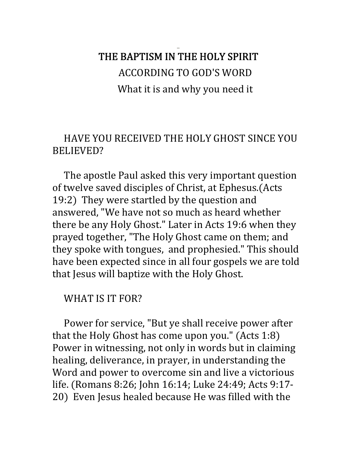# THE BAPTISM IN THE HOLY SPIRIT ACCORDING TO GOD'S WORD What it is and why you need it

## HAVE YOU RECEIVED THE HOLY GHOST SINCE YOU BELIEVED?

 The apostle Paul asked this very important question of twelve saved disciples of Christ, at Ephesus.(Acts 19:2) They were startled by the question and answered, "We have not so much as heard whether there be any Holy Ghost." Later in Acts 19:6 when they prayed together, "The Holy Ghost came on them; and they spoke with tongues, and prophesied." This should have been expected since in all four gospels we are told that Jesus will baptize with the Holy Ghost.

## WHAT IS IT FOR?

 Power for service, "But ye shall receive power after that the Holy Ghost has come upon you."  $(Acts 1:8)$ Power in witnessing, not only in words but in claiming healing, deliverance, in prayer, in understanding the Word and power to overcome sin and live a victorious life. (Romans 8:26; John 16:14; Luke 24:49; Acts 9:17-20) Even Jesus healed because He was filled with the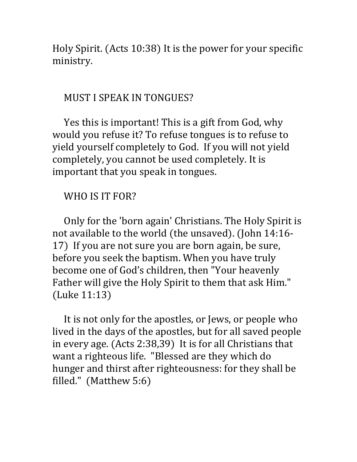Holy Spirit. (Acts 10:38) It is the power for your specific ministry.

#### MUST I SPEAK IN TONGUES?

 Yes this is important! This is a gift from God, why would you refuse it? To refuse tongues is to refuse to yield yourself completely to God. If you will not yield completely, you cannot be used completely. It is important that you speak in tongues.

#### WHO IS IT FOR?

 Only for the 'born again' Christians. The Holy Spirit is not available to the world (the unsaved). (John 14:16-17) If you are not sure you are born again, be sure, before you seek the baptism. When you have truly become one of God's children, then "Your heavenly Father will give the Holy Spirit to them that ask Him."  $(Luke 11:13)$ 

 It is not only for the apostles, or Jews, or people who lived in the days of the apostles, but for all saved people in every age.  $(Acts 2:38,39)$  It is for all Christians that want a righteous life. "Blessed are they which do hunger and thirst after righteousness: for they shall be filled." (Matthew  $5:6$ )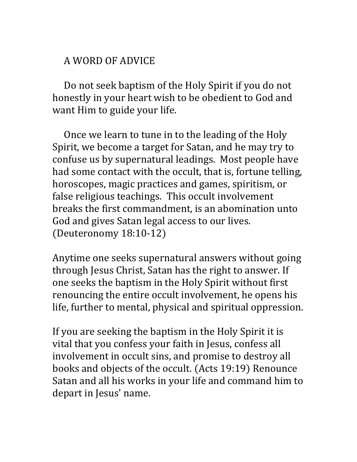## A WORD OF ADVICE

 Do not seek baptism of the Holy Spirit if you do not honestly in your heart wish to be obedient to God and want Him to guide your life.

 Once we learn to tune in to the leading of the Holy Spirit, we become a target for Satan, and he may try to confuse us by supernatural leadings. Most people have had some contact with the occult, that is, fortune telling, horoscopes, magic practices and games, spiritism, or false religious teachings. This occult involvement breaks the first commandment, is an abomination unto God and gives Satan legal access to our lives.  $(Deuteronomy 18:10-12)$ 

Anytime one seeks supernatural answers without going through Jesus Christ, Satan has the right to answer. If one seeks the baptism in the Holy Spirit without first renouncing the entire occult involvement, he opens his life, further to mental, physical and spiritual oppression. 

If you are seeking the baptism in the Holy Spirit it is vital that you confess your faith in Jesus, confess all involvement in occult sins, and promise to destroy all books and objects of the occult. (Acts 19:19) Renounce Satan and all his works in your life and command him to depart in Jesus' name.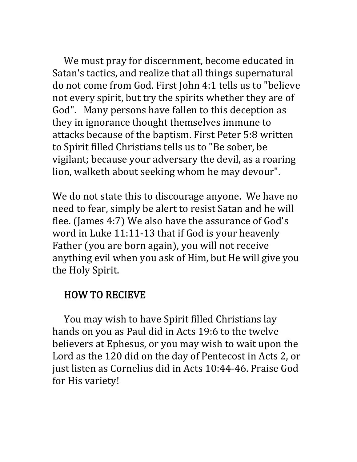We must pray for discernment, become educated in Satan's tactics, and realize that all things supernatural do not come from God. First John 4:1 tells us to "believe not every spirit, but try the spirits whether they are of God". Many persons have fallen to this deception as they in ignorance thought themselves immune to attacks because of the baptism. First Peter 5:8 written to Spirit filled Christians tells us to "Be sober, be vigilant; because your adversary the devil, as a roaring lion, walketh about seeking whom he may devour". 

We do not state this to discourage anyone. We have no need to fear, simply be alert to resist Satan and he will flee. (James 4:7) We also have the assurance of God's word in Luke 11:11‐13 that if God is your heavenly Father (you are born again), you will not receive anything evil when you ask of Him, but He will give you the Holy Spirit.

## HOW TO RECIEVE

 You may wish to have Spirit filled Christians lay hands on you as Paul did in Acts 19:6 to the twelve believers at Ephesus, or you may wish to wait upon the Lord as the 120 did on the day of Pentecost in Acts 2, or just listen as Cornelius did in Acts 10:44‐46. Praise God for His variety!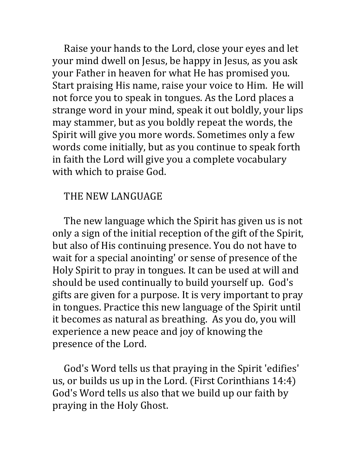Raise your hands to the Lord, close your eyes and let your mind dwell on Jesus, be happy in Jesus, as you ask your Father in heaven for what He has promised you. Start praising His name, raise your voice to Him. He will not force you to speak in tongues. As the Lord places a strange word in your mind, speak it out boldly, your lips may stammer, but as you boldly repeat the words, the Spirit will give you more words. Sometimes only a few words come initially, but as you continue to speak forth in faith the Lord will give you a complete vocabulary with which to praise God.

#### THE NEW LANGUAGE

 The new language which the Spirit has given us is not only a sign of the initial reception of the gift of the Spirit, but also of His continuing presence. You do not have to wait for a special anointing' or sense of presence of the Holy Spirit to pray in tongues. It can be used at will and should be used continually to build yourself up. God's gifts are given for a purpose. It is very important to pray in tongues. Practice this new language of the Spirit until it becomes as natural as breathing. As you do, you will experience a new peace and joy of knowing the presence of the Lord. 

 God's Word tells us that praying in the Spirit 'edifies' us, or builds us up in the Lord. (First Corinthians 14:4) God's Word tells us also that we build up our faith by praying in the Holy Ghost.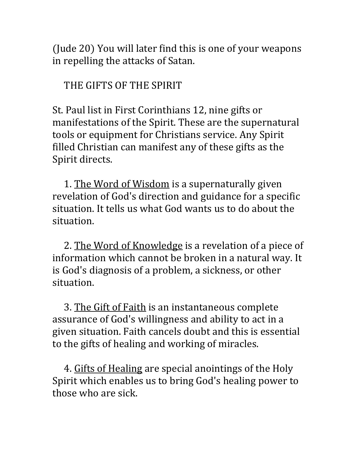$J$  (Jude 20) You will later find this is one of your weapons in repelling the attacks of Satan.

 THE GIFTS OF THE SPIRIT

St. Paul list in First Corinthians 12, nine gifts or manifestations of the Spirit. These are the supernatural tools or equipment for Christians service. Any Spirit filled Christian can manifest any of these gifts as the Spirit directs.

 1. The Word of Wisdom is a supernaturally given revelation of God's direction and guidance for a specific situation. It tells us what God wants us to do about the situation.

 2. The Word of Knowledge is a revelation of a piece of information which cannot be broken in a natural way. It is God's diagnosis of a problem, a sickness, or other situation.

 3. The Gift of Faith is an instantaneous complete assurance of God's willingness and ability to act in a given situation. Faith cancels doubt and this is essential to the gifts of healing and working of miracles.

 4. Gifts of Healing are special anointings of the Holy Spirit which enables us to bring God's healing power to those who are sick.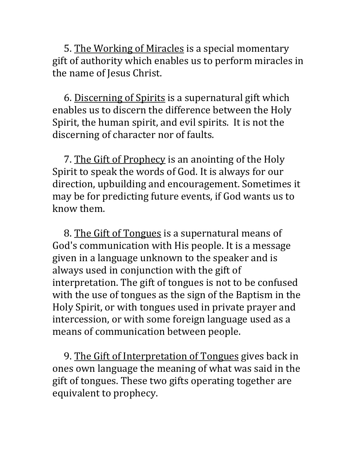5. The Working of Miracles is a special momentary gift of authority which enables us to perform miracles in the name of Jesus Christ.

 6. Discerning of Spirits is a supernatural gift which enables us to discern the difference between the Holy Spirit, the human spirit, and evil spirits. It is not the discerning of character nor of faults.

7. The Gift of Prophecy is an anointing of the Holy Spirit to speak the words of God. It is always for our direction, upbuilding and encouragement. Sometimes it may be for predicting future events, if God wants us to know them.

 8. The Gift of Tongues is a supernatural means of God's communication with His people. It is a message given in a language unknown to the speaker and is always used in conjunction with the gift of interpretation. The gift of tongues is not to be confused with the use of tongues as the sign of the Baptism in the Holy Spirit, or with tongues used in private prayer and intercession, or with some foreign language used as a means of communication between people.

 9. The Gift of Interpretation of Tongues gives back in ones own language the meaning of what was said in the gift of tongues. These two gifts operating together are equivalent to prophecy.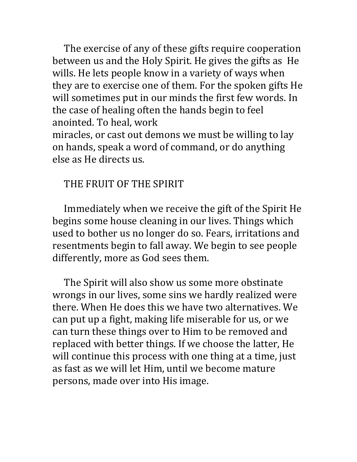The exercise of any of these gifts require cooperation between us and the Holy Spirit. He gives the gifts as He wills. He lets people know in a variety of ways when they are to exercise one of them. For the spoken gifts He will sometimes put in our minds the first few words. In the case of healing often the hands begin to feel anointed. To heal, work miracles, or cast out demons we must be willing to lay

on hands, speak a word of command, or do anything else as He directs us.

### THE FRUIT OF THE SPIRIT

 Immediately when we receive the gift of the Spirit He begins some house cleaning in our lives. Things which used to bother us no longer do so. Fears, irritations and resentments begin to fall away. We begin to see people differently, more as God sees them.

 The Spirit will also show us some more obstinate wrongs in our lives, some sins we hardly realized were there. When He does this we have two alternatives. We can put up a fight, making life miserable for us, or we can turn these things over to Him to be removed and replaced with better things. If we choose the latter, He will continue this process with one thing at a time, just as fast as we will let Him, until we become mature persons, made over into His image.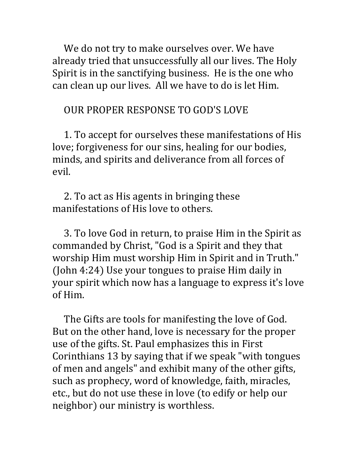We do not try to make ourselves over. We have already tried that unsuccessfully all our lives. The Holy Spirit is in the sanctifying business. He is the one who can clean up our lives. All we have to do is let Him.

#### OUR PROPER RESPONSE TO GOD'S LOVE

 1. To accept for ourselves these manifestations of His love; forgiveness for our sins, healing for our bodies, minds, and spirits and deliverance from all forces of evil.

 2. To act as His agents in bringing these manifestations of His love to others.

 3. To love God in return, to praise Him in the Spirit as commanded by Christ, "God is a Spirit and they that worship Him must worship Him in Spirit and in Truth."  $(John 4:24)$  Use your tongues to praise Him daily in your spirit which now has a language to express it's love of Him.

 The Gifts are tools for manifesting the love of God. But on the other hand, love is necessary for the proper use of the gifts. St. Paul emphasizes this in First Corinthians 13 by saying that if we speak "with tongues of men and angels" and exhibit many of the other gifts, such as prophecy, word of knowledge, faith, miracles, etc., but do not use these in love (to edify or help our neighbor) our ministry is worthless.